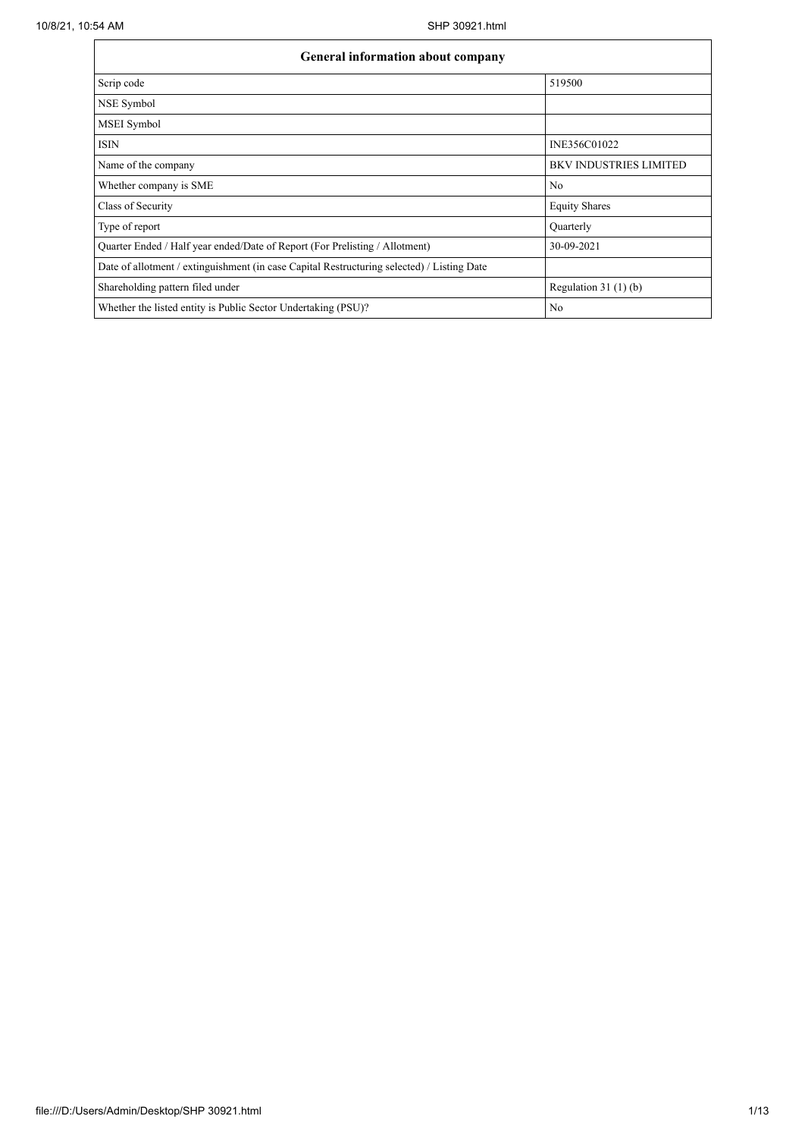| <b>General information about company</b>                                                   |                               |  |  |  |  |  |
|--------------------------------------------------------------------------------------------|-------------------------------|--|--|--|--|--|
| Scrip code                                                                                 | 519500                        |  |  |  |  |  |
| NSE Symbol                                                                                 |                               |  |  |  |  |  |
| MSEI Symbol                                                                                |                               |  |  |  |  |  |
| <b>ISIN</b>                                                                                | INE356C01022                  |  |  |  |  |  |
| Name of the company                                                                        | <b>BKV INDUSTRIES LIMITED</b> |  |  |  |  |  |
| Whether company is SME                                                                     | No                            |  |  |  |  |  |
| Class of Security                                                                          | <b>Equity Shares</b>          |  |  |  |  |  |
| Type of report                                                                             | Quarterly                     |  |  |  |  |  |
| Quarter Ended / Half year ended/Date of Report (For Prelisting / Allotment)                | 30-09-2021                    |  |  |  |  |  |
| Date of allotment / extinguishment (in case Capital Restructuring selected) / Listing Date |                               |  |  |  |  |  |
| Shareholding pattern filed under                                                           | Regulation $31(1)(b)$         |  |  |  |  |  |
| Whether the listed entity is Public Sector Undertaking (PSU)?                              | N <sub>o</sub>                |  |  |  |  |  |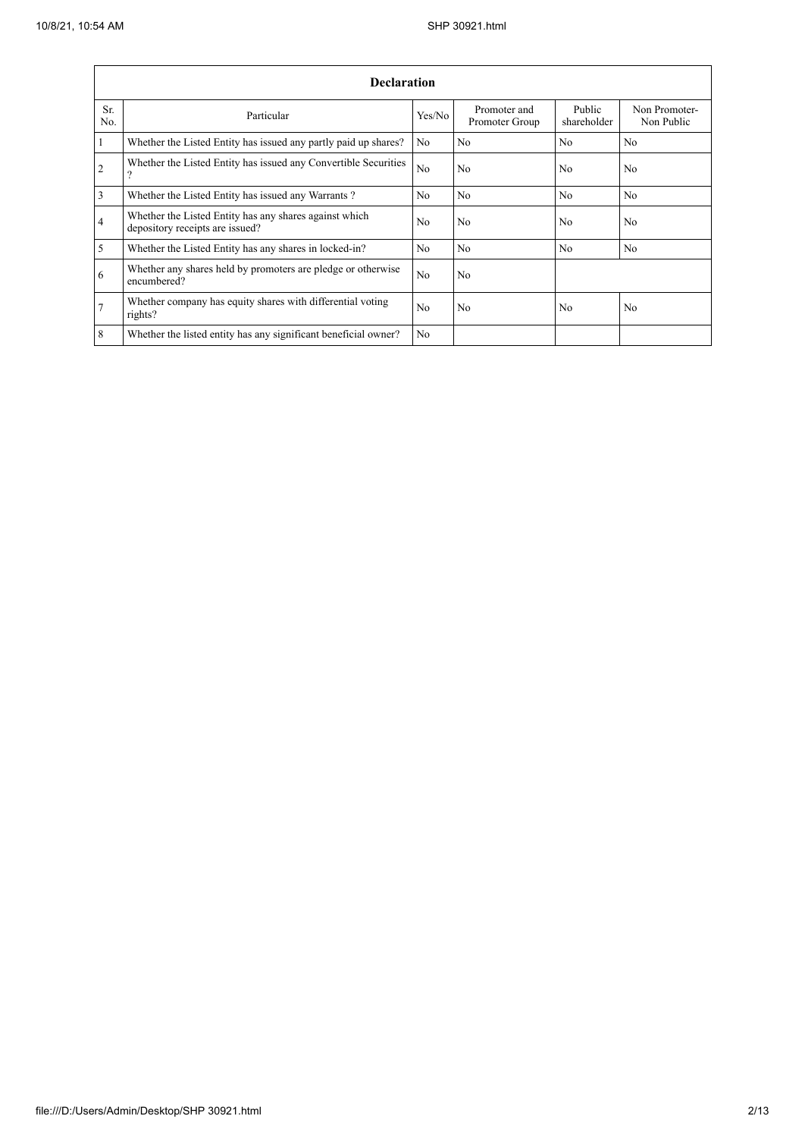|                 | <b>Declaration</b>                                                                        |                |                                |                       |                             |  |  |  |  |  |
|-----------------|-------------------------------------------------------------------------------------------|----------------|--------------------------------|-----------------------|-----------------------------|--|--|--|--|--|
| Sr.<br>No.      | Particular                                                                                | Yes/No         | Promoter and<br>Promoter Group | Public<br>shareholder | Non Promoter-<br>Non Public |  |  |  |  |  |
| $\mathbf{1}$    | Whether the Listed Entity has issued any partly paid up shares?                           | N <sub>0</sub> | N <sub>0</sub>                 | N <sub>0</sub>        | N <sub>0</sub>              |  |  |  |  |  |
| $\overline{2}$  | Whether the Listed Entity has issued any Convertible Securities<br>$\Omega$               | N <sub>0</sub> | No                             | No                    | No                          |  |  |  |  |  |
| 3               | Whether the Listed Entity has issued any Warrants?                                        | N <sub>0</sub> | N <sub>0</sub>                 | N <sub>0</sub>        | N <sub>0</sub>              |  |  |  |  |  |
| 4               | Whether the Listed Entity has any shares against which<br>depository receipts are issued? | N <sub>0</sub> | No                             | N <sub>0</sub>        | N <sub>o</sub>              |  |  |  |  |  |
| 5               | Whether the Listed Entity has any shares in locked-in?                                    | N <sub>o</sub> | No                             | N <sub>0</sub>        | N <sub>o</sub>              |  |  |  |  |  |
| 6               | Whether any shares held by promoters are pledge or otherwise<br>encumbered?               | N <sub>0</sub> | No                             |                       |                             |  |  |  |  |  |
| $7\overline{ }$ | Whether company has equity shares with differential voting<br>rights?                     | N <sub>0</sub> | No                             | N <sub>0</sub>        | N <sub>o</sub>              |  |  |  |  |  |
| 8               | Whether the listed entity has any significant beneficial owner?                           | N <sub>0</sub> |                                |                       |                             |  |  |  |  |  |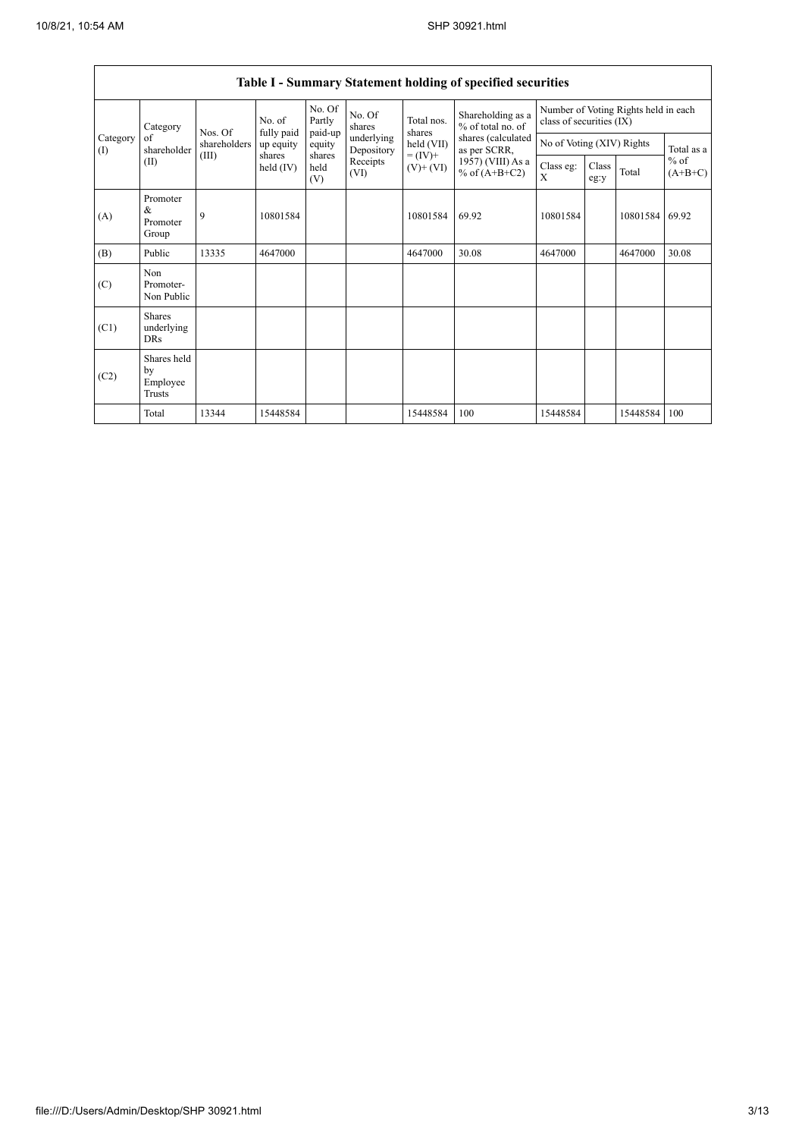$\mathsf{r}$ 

|                   | Table I - Summary Statement holding of specified securities |                                                                                                |          |                             |                          |                              |                                                                                                                      |                                                                  |                           |          |                     |
|-------------------|-------------------------------------------------------------|------------------------------------------------------------------------------------------------|----------|-----------------------------|--------------------------|------------------------------|----------------------------------------------------------------------------------------------------------------------|------------------------------------------------------------------|---------------------------|----------|---------------------|
|                   | Category<br>of<br>shareholder<br>(II)                       | No. of<br>fully paid<br>Nos. Of<br>shareholders<br>up equity<br>(III)<br>shares<br>$held$ (IV) |          | No. Of<br>Partly<br>paid-up | No. Of<br>shares         | Total nos.<br>shares         | Shareholding as a<br>% of total no. of<br>shares (calculated<br>as per SCRR,<br>1957) (VIII) As a<br>% of $(A+B+C2)$ | Number of Voting Rights held in each<br>class of securities (IX) |                           |          |                     |
| Category<br>$($ I |                                                             |                                                                                                |          | equity                      | underlying<br>Depository | held (VII)                   |                                                                                                                      |                                                                  | No of Voting (XIV) Rights |          | Total as a          |
|                   |                                                             |                                                                                                |          | shares<br>held<br>(V)       | Receipts<br>(VI)         | $= (IV) +$<br>$(V)$ + $(VI)$ |                                                                                                                      | Class eg:<br>X                                                   | Class<br>eg:y             | Total    | $%$ of<br>$(A+B+C)$ |
| (A)               | Promoter<br>&<br>Promoter<br>Group                          | 9                                                                                              | 10801584 |                             |                          | 10801584                     | 69.92                                                                                                                | 10801584                                                         |                           | 10801584 | 69.92               |
| (B)               | Public                                                      | 13335                                                                                          | 4647000  |                             |                          | 4647000                      | 30.08                                                                                                                | 4647000                                                          |                           | 4647000  | 30.08               |
| (C)               | Non<br>Promoter-<br>Non Public                              |                                                                                                |          |                             |                          |                              |                                                                                                                      |                                                                  |                           |          |                     |
| (C1)              | Shares<br>underlying<br><b>DRs</b>                          |                                                                                                |          |                             |                          |                              |                                                                                                                      |                                                                  |                           |          |                     |
| (C2)              | Shares held<br>by<br>Employee<br>Trusts                     |                                                                                                |          |                             |                          |                              |                                                                                                                      |                                                                  |                           |          |                     |
|                   | Total                                                       | 13344                                                                                          | 15448584 |                             |                          | 15448584                     | 100                                                                                                                  | 15448584                                                         |                           | 15448584 | 100                 |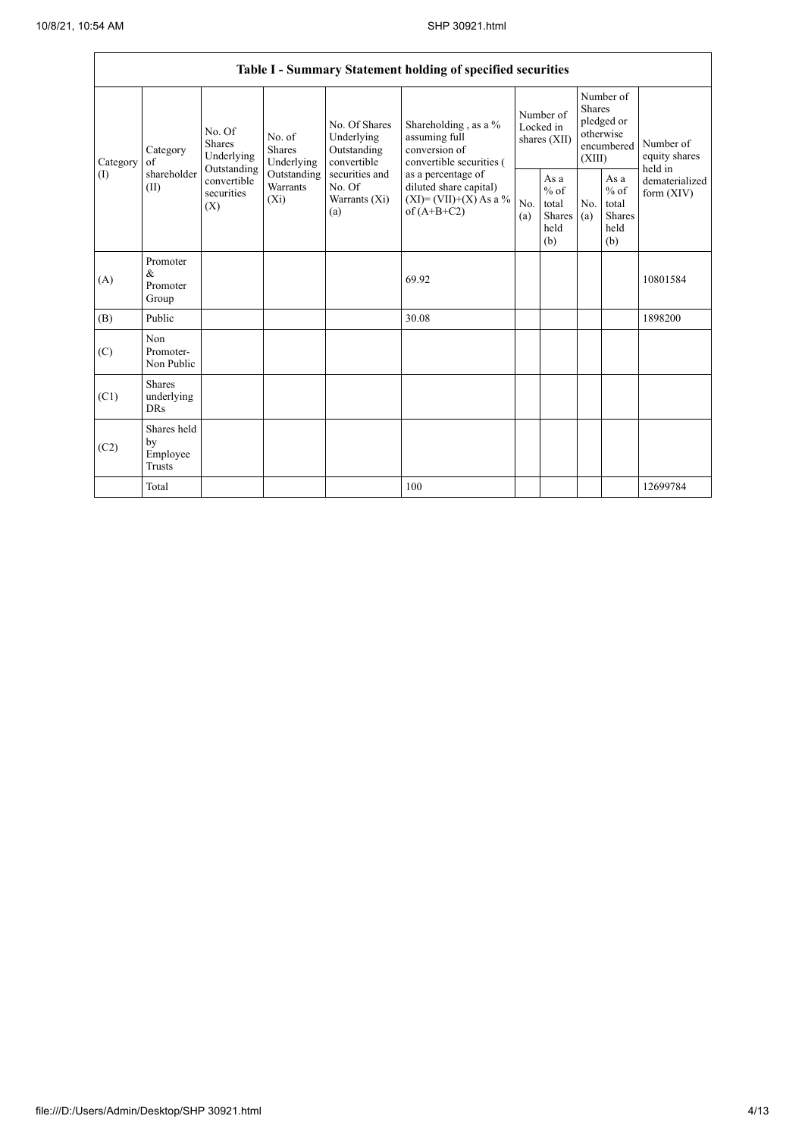|                   | Table I - Summary Statement holding of specified securities                     |                           |                                       |                                                           |                                                                                                                                                                                  |                                        |                                                  |                                                                               |                                                  |                                       |  |
|-------------------|---------------------------------------------------------------------------------|---------------------------|---------------------------------------|-----------------------------------------------------------|----------------------------------------------------------------------------------------------------------------------------------------------------------------------------------|----------------------------------------|--------------------------------------------------|-------------------------------------------------------------------------------|--------------------------------------------------|---------------------------------------|--|
| Category<br>$($ I | No. Of<br>Shares<br>Category<br>of<br>Outstanding<br>shareholder<br>(II)<br>(X) | Underlying                | No. of<br><b>Shares</b><br>Underlying | No. Of Shares<br>Underlying<br>Outstanding<br>convertible | Shareholding, as a %<br>assuming full<br>conversion of<br>convertible securities (<br>as a percentage of<br>diluted share capital)<br>$(XI) = (VII)+(X) As a %$<br>of $(A+B+C2)$ | Number of<br>Locked in<br>shares (XII) |                                                  | Number of<br><b>Shares</b><br>pledged or<br>otherwise<br>encumbered<br>(XIII) |                                                  | Number of<br>equity shares<br>held in |  |
|                   |                                                                                 | convertible<br>securities | Outstanding<br>Warrants<br>$(X_i)$    | securities and<br>No. Of<br>Warrants (Xi)<br>(a)          |                                                                                                                                                                                  | No.<br>(a)                             | As a<br>$%$ of<br>total<br>Shares<br>held<br>(b) | No.<br>(a)                                                                    | As a<br>$%$ of<br>total<br>Shares<br>held<br>(b) | dematerialized<br>form $(XIV)$        |  |
| (A)               | Promoter<br>$\&$<br>Promoter<br>Group                                           |                           |                                       |                                                           | 69.92                                                                                                                                                                            |                                        |                                                  |                                                                               |                                                  | 10801584                              |  |
| (B)               | Public                                                                          |                           |                                       |                                                           | 30.08                                                                                                                                                                            |                                        |                                                  |                                                                               |                                                  | 1898200                               |  |
| (C)               | Non<br>Promoter-<br>Non Public                                                  |                           |                                       |                                                           |                                                                                                                                                                                  |                                        |                                                  |                                                                               |                                                  |                                       |  |
| (C1)              | <b>Shares</b><br>underlying<br><b>DRs</b>                                       |                           |                                       |                                                           |                                                                                                                                                                                  |                                        |                                                  |                                                                               |                                                  |                                       |  |
| (C2)              | Shares held<br>by<br>Employee<br><b>Trusts</b>                                  |                           |                                       |                                                           |                                                                                                                                                                                  |                                        |                                                  |                                                                               |                                                  |                                       |  |
|                   | Total                                                                           |                           |                                       |                                                           | 100                                                                                                                                                                              |                                        |                                                  |                                                                               |                                                  | 12699784                              |  |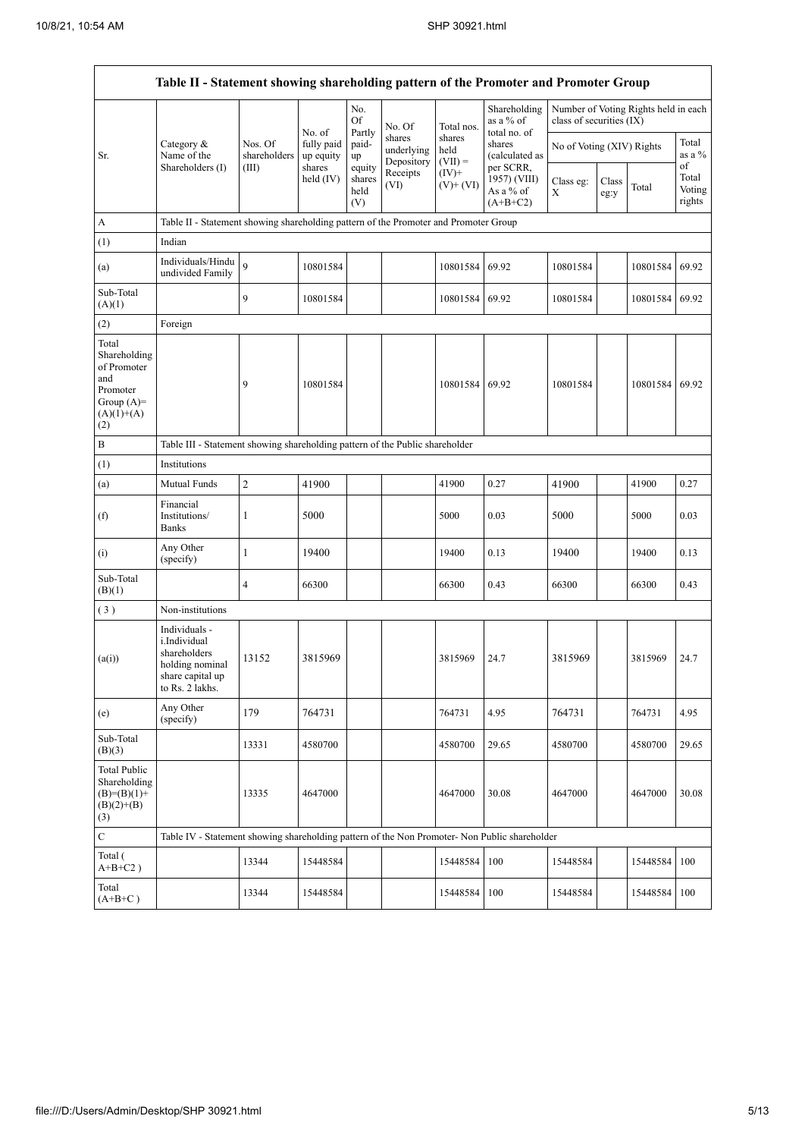$\mathbf{r}$ 

|                                                                                                | Table II - Statement showing shareholding pattern of the Promoter and Promoter Group                    |                                                                              |                         |                                 |                                    |                             |                                                      |                           |               |                                      |                           |
|------------------------------------------------------------------------------------------------|---------------------------------------------------------------------------------------------------------|------------------------------------------------------------------------------|-------------------------|---------------------------------|------------------------------------|-----------------------------|------------------------------------------------------|---------------------------|---------------|--------------------------------------|---------------------------|
|                                                                                                |                                                                                                         |                                                                              | No. of                  | No.<br>Of<br>Partly             | No. Of                             | Total nos.                  | Shareholding<br>as a % of<br>total no. of            | class of securities (IX)  |               | Number of Voting Rights held in each |                           |
| Sr.                                                                                            | Category $\&$<br>Name of the                                                                            | Nos. Of<br>shareholders                                                      | fully paid<br>up equity | paid-<br>up                     | shares<br>underlying<br>Depository | shares<br>held<br>$(VII) =$ | shares<br>(calculated as                             | No of Voting (XIV) Rights |               |                                      | Total<br>as a $%$<br>of   |
|                                                                                                | Shareholders (I)                                                                                        | (III)                                                                        | shares<br>held $(IV)$   | equity<br>shares<br>held<br>(V) | Receipts<br>(VI)                   | $(IV)^+$<br>$(V)$ + $(VI)$  | per SCRR,<br>1957) (VIII)<br>As a % of<br>$(A+B+C2)$ | Class eg:<br>X            | Class<br>eg:y | Total                                | Total<br>Voting<br>rights |
| A                                                                                              | Table II - Statement showing shareholding pattern of the Promoter and Promoter Group                    |                                                                              |                         |                                 |                                    |                             |                                                      |                           |               |                                      |                           |
| (1)                                                                                            | Indian                                                                                                  |                                                                              |                         |                                 |                                    |                             |                                                      |                           |               |                                      |                           |
| (a)                                                                                            | Individuals/Hindu<br>undivided Family                                                                   | $\overline{9}$                                                               | 10801584                |                                 |                                    | 10801584                    | 69.92                                                | 10801584                  |               | 10801584                             | 69.92                     |
| Sub-Total<br>(A)(1)                                                                            |                                                                                                         | 9                                                                            | 10801584                |                                 |                                    | 10801584                    | 69.92                                                | 10801584                  |               | 10801584                             | 69.92                     |
| (2)                                                                                            | Foreign                                                                                                 |                                                                              |                         |                                 |                                    |                             |                                                      |                           |               |                                      |                           |
| Total<br>Shareholding<br>of Promoter<br>and<br>Promoter<br>Group $(A)=$<br>$(A)(1)+(A)$<br>(2) |                                                                                                         | 9                                                                            | 10801584                |                                 |                                    | 10801584                    | 69.92                                                | 10801584                  |               | 10801584                             | 69.92                     |
| $\, {\bf B}$                                                                                   |                                                                                                         | Table III - Statement showing shareholding pattern of the Public shareholder |                         |                                 |                                    |                             |                                                      |                           |               |                                      |                           |
| (1)                                                                                            | Institutions                                                                                            |                                                                              |                         |                                 |                                    |                             |                                                      |                           |               |                                      |                           |
| (a)                                                                                            | Mutual Funds                                                                                            | $\sqrt{2}$                                                                   | 41900                   |                                 |                                    | 41900                       | 0.27                                                 | 41900                     |               | 41900                                | 0.27                      |
| (f)                                                                                            | Financial<br>Institutions/<br><b>Banks</b>                                                              | 1                                                                            | 5000                    |                                 |                                    | 5000                        | 0.03                                                 | 5000                      |               | 5000                                 | 0.03                      |
| (i)                                                                                            | Any Other<br>(specify)                                                                                  | $\mathbf{1}$                                                                 | 19400                   |                                 |                                    | 19400                       | 0.13                                                 | 19400                     |               | 19400                                | 0.13                      |
| Sub-Total<br>(B)(1)                                                                            |                                                                                                         | 4                                                                            | 66300                   |                                 |                                    | 66300                       | 0.43                                                 | 66300                     |               | 66300                                | 0.43                      |
| (3)                                                                                            | Non-institutions                                                                                        |                                                                              |                         |                                 |                                    |                             |                                                      |                           |               |                                      |                           |
| (a(i))                                                                                         | Individuals -<br>i.Individual<br>shareholders<br>holding nominal<br>share capital up<br>to Rs. 2 lakhs. | 13152                                                                        | 3815969                 |                                 |                                    | 3815969                     | 24.7                                                 | 3815969                   |               | 3815969                              | 24.7                      |
| (e)                                                                                            | Any Other<br>(specify)                                                                                  | 179                                                                          | 764731                  |                                 |                                    | 764731                      | 4.95                                                 | 764731                    |               | 764731                               | 4.95                      |
| Sub-Total<br>(B)(3)                                                                            |                                                                                                         | 13331                                                                        | 4580700                 |                                 |                                    | 4580700                     | 29.65                                                | 4580700                   |               | 4580700                              | 29.65                     |
| <b>Total Public</b><br>Shareholding<br>$(B)=(B)(1)+$<br>$(B)(2)+(B)$<br>(3)                    |                                                                                                         | 13335                                                                        | 4647000                 |                                 |                                    | 4647000                     | 30.08                                                | 4647000                   |               | 4647000                              | 30.08                     |
| $\mathbf C$                                                                                    | Table IV - Statement showing shareholding pattern of the Non Promoter- Non Public shareholder           |                                                                              |                         |                                 |                                    |                             |                                                      |                           |               |                                      |                           |
| Total (<br>$A+B+C2$ )                                                                          |                                                                                                         | 13344                                                                        | 15448584                |                                 |                                    | 15448584                    | 100                                                  | 15448584                  |               | 15448584                             | 100                       |
| Total<br>$(A+B+C)$                                                                             |                                                                                                         | 13344                                                                        | 15448584                |                                 |                                    | 15448584                    | 100                                                  | 15448584                  |               | 15448584                             | 100                       |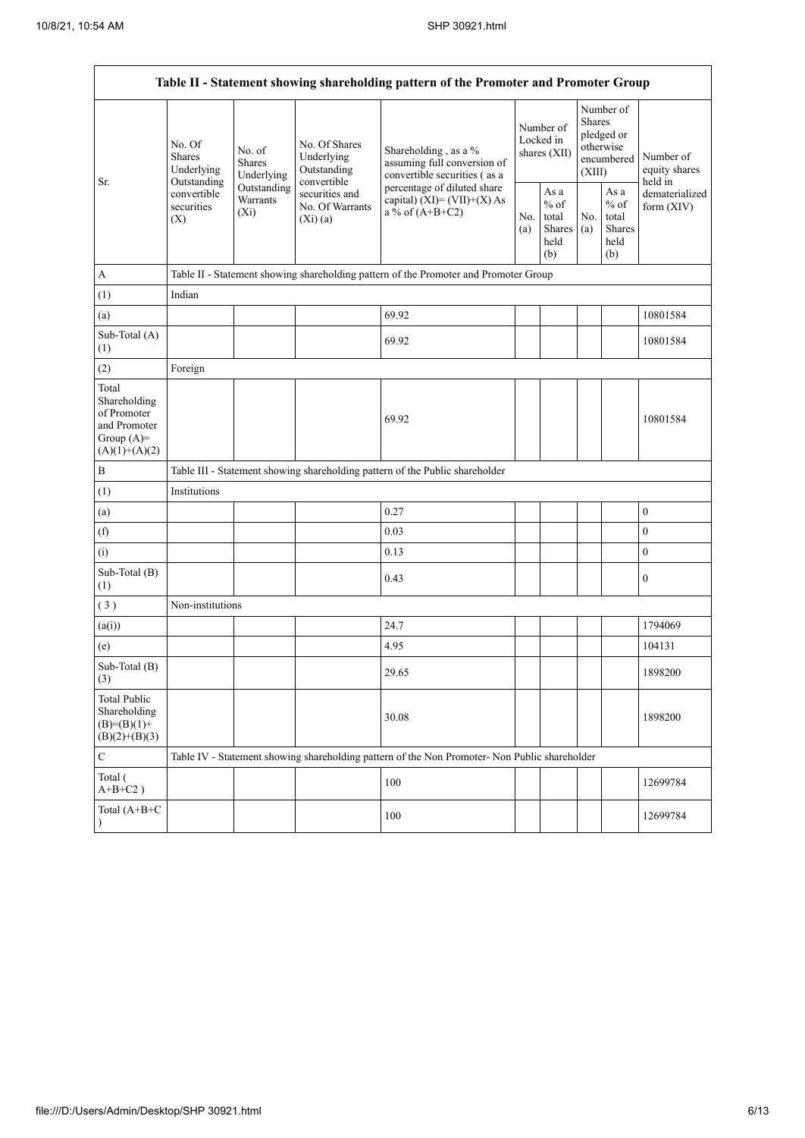| Table II - Statement showing shareholding pattern of the Promoter and Promoter Group    |                                                                                                                                                                         |                                                                  |                                                                                                                                                                                         |                                                                                               |                                                  |            |                                                                        |                                       |                  |  |
|-----------------------------------------------------------------------------------------|-------------------------------------------------------------------------------------------------------------------------------------------------------------------------|------------------------------------------------------------------|-----------------------------------------------------------------------------------------------------------------------------------------------------------------------------------------|-----------------------------------------------------------------------------------------------|--------------------------------------------------|------------|------------------------------------------------------------------------|---------------------------------------|------------------|--|
| Sr.                                                                                     | No. Of<br>No. of<br><b>Shares</b><br><b>Shares</b><br>Underlying<br>Underlying<br>Outstanding<br>Outstanding<br>convertible<br>Warrants<br>securities<br>$(X_i)$<br>(X) | No. Of Shares<br>Underlying<br>Outstanding                       | Shareholding, as a %<br>assuming full conversion of<br>convertible securities (as a<br>percentage of diluted share<br>capital) $(XI) = (VII)+(X) As$<br>a % of $(A+B+C2)$<br>No.<br>(a) |                                                                                               | Number of<br>Locked in<br>shares (XII)           |            | Number of<br>Shares<br>pledged or<br>otherwise<br>encumbered<br>(XIII) | Number of<br>equity shares<br>held in |                  |  |
|                                                                                         |                                                                                                                                                                         | convertible<br>securities and<br>No. Of Warrants<br>$(Xi)$ $(a)$ |                                                                                                                                                                                         |                                                                                               | As a<br>$%$ of<br>total<br>Shares<br>held<br>(b) | No.<br>(a) | As $\mathbf{a}$<br>$%$ of<br>total<br>Shares<br>held<br>(b)            | dematerialized<br>form $(XIV)$        |                  |  |
| $\boldsymbol{A}$                                                                        |                                                                                                                                                                         |                                                                  |                                                                                                                                                                                         | Table II - Statement showing shareholding pattern of the Promoter and Promoter Group          |                                                  |            |                                                                        |                                       |                  |  |
| (1)                                                                                     | Indian                                                                                                                                                                  |                                                                  |                                                                                                                                                                                         |                                                                                               |                                                  |            |                                                                        |                                       |                  |  |
| (a)                                                                                     |                                                                                                                                                                         |                                                                  |                                                                                                                                                                                         | 69.92                                                                                         |                                                  |            |                                                                        |                                       | 10801584         |  |
| Sub-Total (A)<br>(1)                                                                    |                                                                                                                                                                         |                                                                  |                                                                                                                                                                                         | 69.92                                                                                         |                                                  |            |                                                                        |                                       | 10801584         |  |
| (2)                                                                                     | Foreign                                                                                                                                                                 |                                                                  |                                                                                                                                                                                         |                                                                                               |                                                  |            |                                                                        |                                       |                  |  |
| Total<br>Shareholding<br>of Promoter<br>and Promoter<br>Group $(A)=$<br>$(A)(1)+(A)(2)$ |                                                                                                                                                                         |                                                                  |                                                                                                                                                                                         | 69.92                                                                                         |                                                  |            |                                                                        |                                       | 10801584         |  |
| $\, {\bf B}$                                                                            |                                                                                                                                                                         |                                                                  |                                                                                                                                                                                         | Table III - Statement showing shareholding pattern of the Public shareholder                  |                                                  |            |                                                                        |                                       |                  |  |
| (1)                                                                                     | Institutions                                                                                                                                                            |                                                                  |                                                                                                                                                                                         |                                                                                               |                                                  |            |                                                                        |                                       |                  |  |
| (a)                                                                                     |                                                                                                                                                                         |                                                                  |                                                                                                                                                                                         | 0.27                                                                                          |                                                  |            |                                                                        |                                       | $\boldsymbol{0}$ |  |
| (f)                                                                                     |                                                                                                                                                                         |                                                                  |                                                                                                                                                                                         | 0.03                                                                                          |                                                  |            |                                                                        |                                       | $\mathbf{0}$     |  |
| (i)                                                                                     |                                                                                                                                                                         |                                                                  |                                                                                                                                                                                         | 0.13                                                                                          |                                                  |            |                                                                        |                                       | $\boldsymbol{0}$ |  |
| Sub-Total (B)<br>(1)                                                                    |                                                                                                                                                                         |                                                                  |                                                                                                                                                                                         | 0.43                                                                                          |                                                  |            |                                                                        |                                       | $\boldsymbol{0}$ |  |
| (3)                                                                                     | Non-institutions                                                                                                                                                        |                                                                  |                                                                                                                                                                                         |                                                                                               |                                                  |            |                                                                        |                                       |                  |  |
| (a(i))                                                                                  |                                                                                                                                                                         |                                                                  |                                                                                                                                                                                         | 24.7                                                                                          |                                                  |            |                                                                        |                                       | 1794069          |  |
| (e)                                                                                     |                                                                                                                                                                         |                                                                  |                                                                                                                                                                                         | 4.95                                                                                          |                                                  |            |                                                                        |                                       | 104131           |  |
| Sub-Total (B)<br>(3)                                                                    |                                                                                                                                                                         |                                                                  |                                                                                                                                                                                         | 29.65                                                                                         |                                                  |            |                                                                        |                                       | 1898200          |  |
| <b>Total Public</b><br>Shareholding<br>$(B)=(B)(1)+$<br>$(B)(2)+(B)(3)$                 |                                                                                                                                                                         |                                                                  |                                                                                                                                                                                         | 30.08                                                                                         |                                                  |            |                                                                        |                                       | 1898200          |  |
| $\mathbf C$                                                                             |                                                                                                                                                                         |                                                                  |                                                                                                                                                                                         | Table IV - Statement showing shareholding pattern of the Non Promoter- Non Public shareholder |                                                  |            |                                                                        |                                       |                  |  |
| Total (<br>$\mathrm{A} \text{+} \mathrm{B} \text{+} \mathrm{C2}$ )                      |                                                                                                                                                                         |                                                                  |                                                                                                                                                                                         | 100                                                                                           |                                                  |            |                                                                        |                                       | 12699784         |  |
| Total (A+B+C<br>$\lambda$                                                               |                                                                                                                                                                         |                                                                  |                                                                                                                                                                                         | 100                                                                                           |                                                  |            |                                                                        |                                       | 12699784         |  |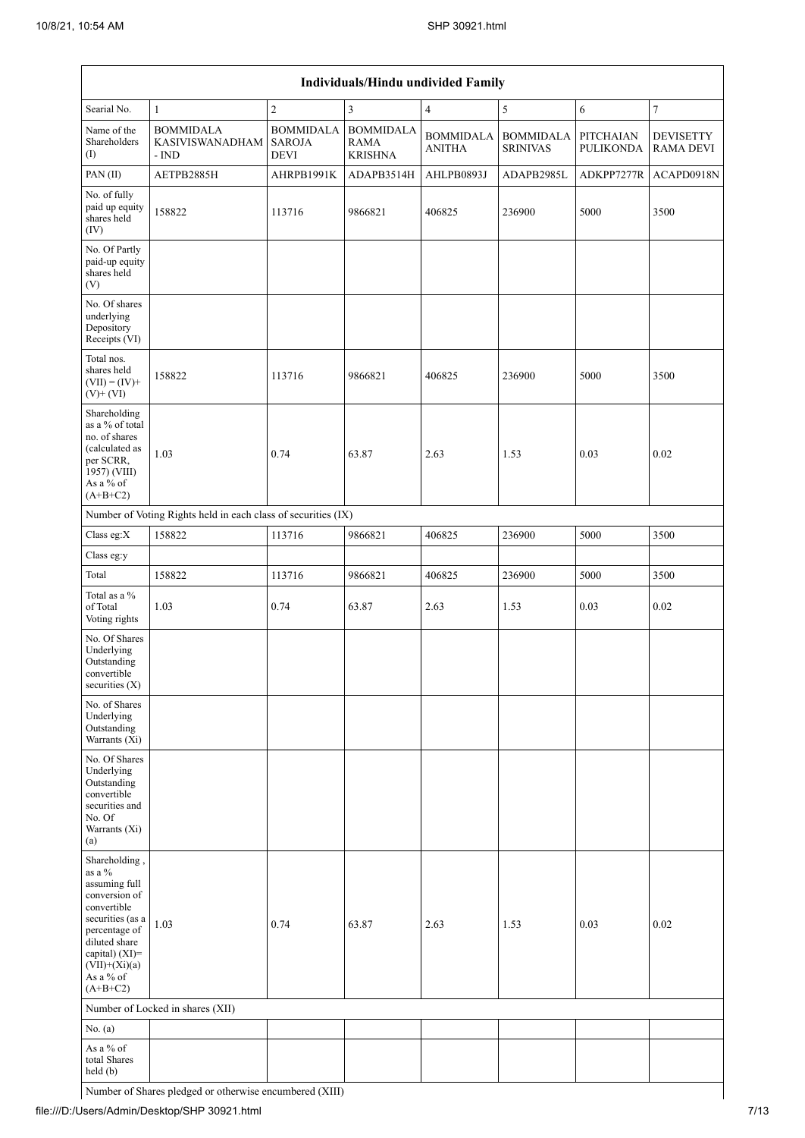| Individuals/Hindu undivided Family                                                                                                                                                                |                                                               |                                                  |                                                   |                                   |                                     |                                      |                                      |  |  |  |
|---------------------------------------------------------------------------------------------------------------------------------------------------------------------------------------------------|---------------------------------------------------------------|--------------------------------------------------|---------------------------------------------------|-----------------------------------|-------------------------------------|--------------------------------------|--------------------------------------|--|--|--|
| Searial No.                                                                                                                                                                                       | $\mathbf{1}$                                                  | $\overline{c}$                                   | 3                                                 | 4                                 | 5                                   | 6                                    | 7                                    |  |  |  |
| Name of the<br>Shareholders<br>(1)                                                                                                                                                                | <b>BOMMIDALA</b><br><b>KASIVISWANADHAM</b><br>- IND           | <b>BOMMIDALA</b><br><b>SAROJA</b><br><b>DEVI</b> | <b>BOMMIDALA</b><br><b>RAMA</b><br><b>KRISHNA</b> | <b>BOMMIDALA</b><br><b>ANITHA</b> | <b>BOMMIDALA</b><br><b>SRINIVAS</b> | <b>PITCHAIAN</b><br><b>PULIKONDA</b> | <b>DEVISETTY</b><br><b>RAMA DEVI</b> |  |  |  |
| PAN(II)                                                                                                                                                                                           | AETPB2885H                                                    | AHRPB1991K                                       | ADAPB3514H                                        | AHLPB0893J                        | ADAPB2985L                          | ADKPP7277R                           | ACAPD0918N                           |  |  |  |
| No. of fully<br>paid up equity<br>shares held<br>(IV)                                                                                                                                             | 158822                                                        | 113716                                           | 9866821                                           | 406825                            | 236900                              | 5000                                 | 3500                                 |  |  |  |
| No. Of Partly<br>paid-up equity<br>shares held<br>(V)                                                                                                                                             |                                                               |                                                  |                                                   |                                   |                                     |                                      |                                      |  |  |  |
| No. Of shares<br>underlying<br>Depository<br>Receipts (VI)                                                                                                                                        |                                                               |                                                  |                                                   |                                   |                                     |                                      |                                      |  |  |  |
| Total nos.<br>shares held<br>$(VII) = (IV) +$<br>$(V)$ + $(VI)$                                                                                                                                   | 158822                                                        | 113716                                           | 9866821                                           | 406825                            | 236900                              | 5000                                 | 3500                                 |  |  |  |
| Shareholding<br>as a % of total<br>no. of shares<br>(calculated as<br>per SCRR,<br>1957) (VIII)<br>As a % of<br>$(A+B+C2)$                                                                        | 1.03                                                          | 0.74                                             | 63.87                                             | 2.63                              | 1.53                                | 0.03                                 | 0.02                                 |  |  |  |
|                                                                                                                                                                                                   | Number of Voting Rights held in each class of securities (IX) |                                                  |                                                   |                                   |                                     |                                      |                                      |  |  |  |
| Class eg: $X$                                                                                                                                                                                     | 158822                                                        | 113716                                           | 9866821                                           | 406825                            | 236900                              | 5000                                 | 3500                                 |  |  |  |
| Class eg:y                                                                                                                                                                                        |                                                               |                                                  |                                                   |                                   |                                     |                                      |                                      |  |  |  |
| Total                                                                                                                                                                                             | 158822                                                        | 113716                                           | 9866821                                           | 406825                            | 236900                              | 5000                                 | 3500                                 |  |  |  |
| Total as a %<br>of Total<br>Voting rights                                                                                                                                                         | 1.03                                                          | 0.74                                             | 63.87                                             | 2.63                              | 1.53                                | 0.03                                 | 0.02                                 |  |  |  |
| No. Of Shares<br>Underlying<br>Outstanding<br>convertible<br>securities $(X)$                                                                                                                     |                                                               |                                                  |                                                   |                                   |                                     |                                      |                                      |  |  |  |
| No. of Shares<br>Underlying<br>Outstanding<br>Warrants (Xi)                                                                                                                                       |                                                               |                                                  |                                                   |                                   |                                     |                                      |                                      |  |  |  |
| No. Of Shares<br>Underlying<br>Outstanding<br>convertible<br>securities and<br>No. Of<br>Warrants (Xi)<br>(a)                                                                                     |                                                               |                                                  |                                                   |                                   |                                     |                                      |                                      |  |  |  |
| Shareholding,<br>as a $\%$<br>assuming full<br>conversion of<br>convertible<br>securities (as a<br>percentage of<br>diluted share<br>capital) (XI)=<br>$(VII)+(Xi)(a)$<br>As a % of<br>$(A+B+C2)$ | 1.03                                                          | 0.74                                             | 63.87                                             | 2.63                              | 1.53                                | 0.03                                 | 0.02                                 |  |  |  |
|                                                                                                                                                                                                   | Number of Locked in shares (XII)                              |                                                  |                                                   |                                   |                                     |                                      |                                      |  |  |  |
| No. $(a)$                                                                                                                                                                                         |                                                               |                                                  |                                                   |                                   |                                     |                                      |                                      |  |  |  |
| As a % of<br>total Shares<br>held (b)                                                                                                                                                             |                                                               |                                                  |                                                   |                                   |                                     |                                      |                                      |  |  |  |

Number of Shares pledged or otherwise encumbered (XIII)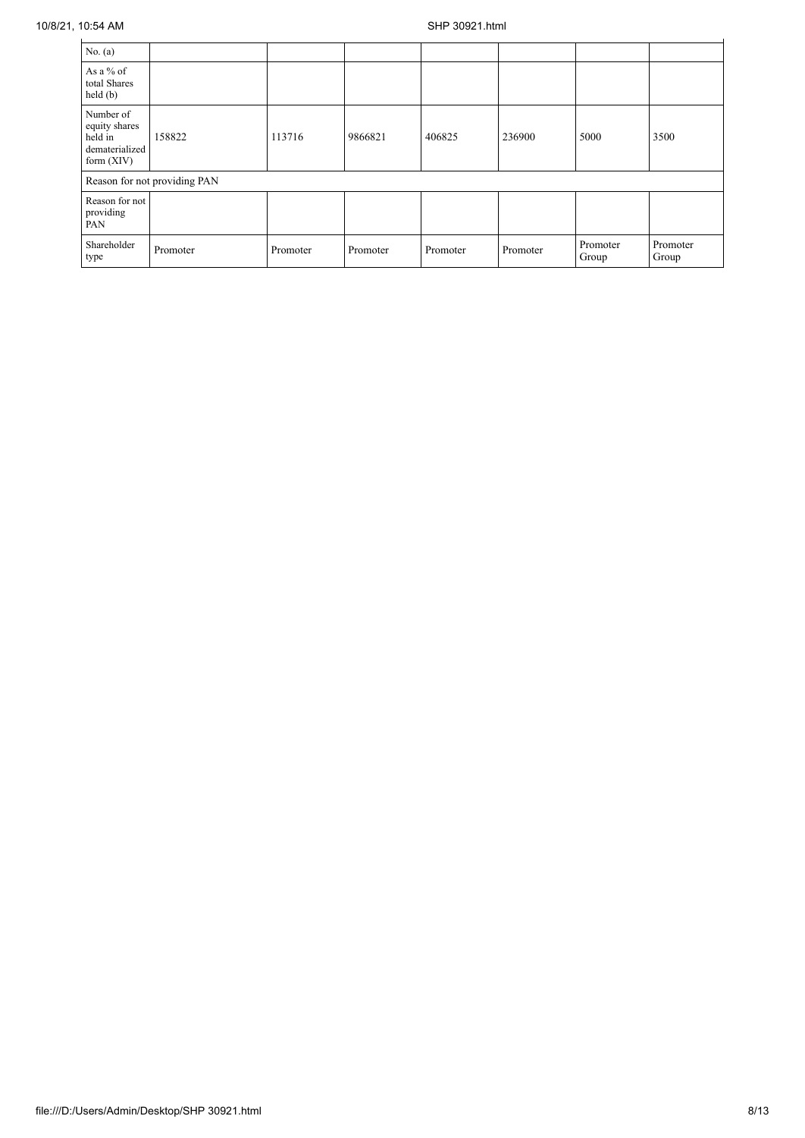| No. (a)                                                                 |                              |          |          |          |          |                   |                   |
|-------------------------------------------------------------------------|------------------------------|----------|----------|----------|----------|-------------------|-------------------|
| As a $%$ of<br>total Shares<br>held(b)                                  |                              |          |          |          |          |                   |                   |
| Number of<br>equity shares<br>held in<br>dematerialized<br>form $(XIV)$ | 158822                       | 113716   | 9866821  | 406825   | 236900   | 5000              | 3500              |
|                                                                         | Reason for not providing PAN |          |          |          |          |                   |                   |
| Reason for not<br>providing<br>PAN                                      |                              |          |          |          |          |                   |                   |
| Shareholder<br>type                                                     | Promoter                     | Promoter | Promoter | Promoter | Promoter | Promoter<br>Group | Promoter<br>Group |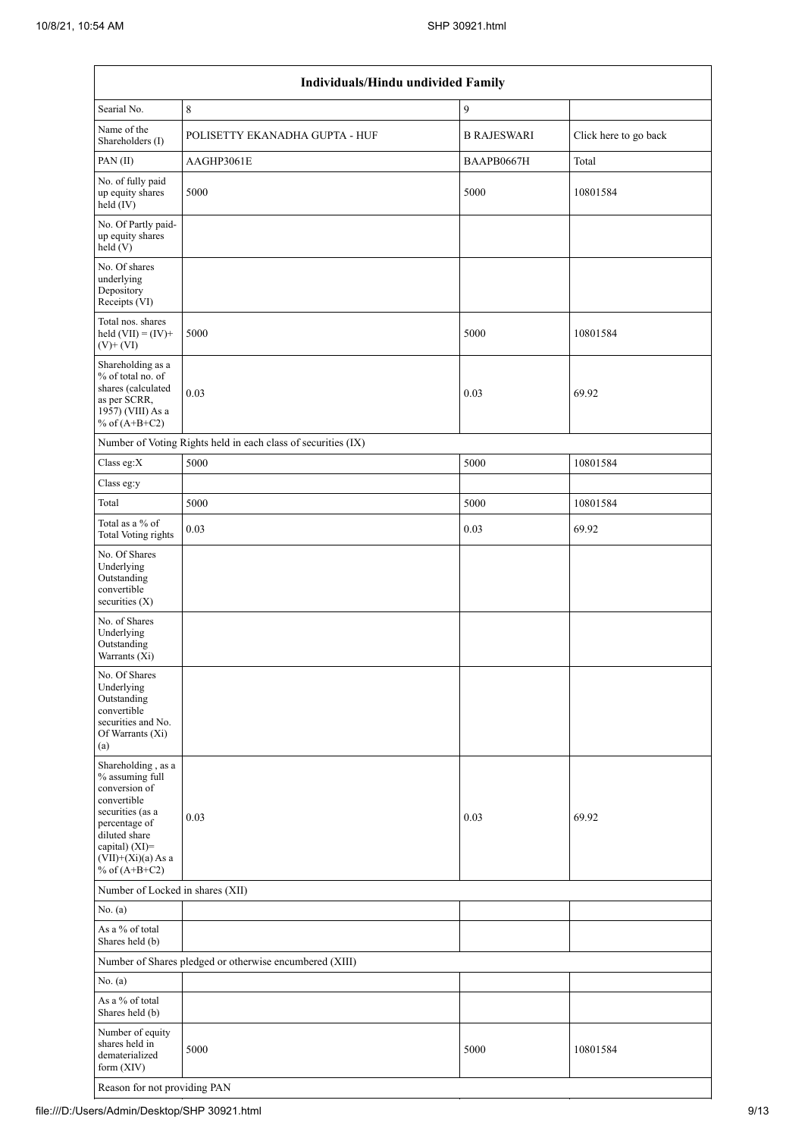|                                                                                                                                                                                          | Individuals/Hindu undivided Family                            |                    |                       |  |  |  |  |  |
|------------------------------------------------------------------------------------------------------------------------------------------------------------------------------------------|---------------------------------------------------------------|--------------------|-----------------------|--|--|--|--|--|
| Searial No.                                                                                                                                                                              | 8                                                             | 9                  |                       |  |  |  |  |  |
| Name of the<br>Shareholders (I)                                                                                                                                                          | POLISETTY EKANADHA GUPTA - HUF                                | <b>B RAJESWARI</b> | Click here to go back |  |  |  |  |  |
| PAN (II)                                                                                                                                                                                 | AAGHP3061E                                                    | BAAPB0667H         | Total                 |  |  |  |  |  |
| No. of fully paid<br>up equity shares<br>$\text{held}(\text{IV})$                                                                                                                        | 5000                                                          | 5000               | 10801584              |  |  |  |  |  |
| No. Of Partly paid-<br>up equity shares<br>held(V)                                                                                                                                       |                                                               |                    |                       |  |  |  |  |  |
| No. Of shares<br>underlying<br>Depository<br>Receipts (VI)                                                                                                                               |                                                               |                    |                       |  |  |  |  |  |
| Total nos. shares<br>held $(VII) = (IV) +$<br>$(V)+(VI)$                                                                                                                                 | 5000                                                          | 5000               | 10801584              |  |  |  |  |  |
| Shareholding as a<br>% of total no. of<br>shares (calculated<br>as per SCRR,<br>1957) (VIII) As a<br>% of $(A+B+C2)$                                                                     | 0.03                                                          | 0.03               | 69.92                 |  |  |  |  |  |
|                                                                                                                                                                                          | Number of Voting Rights held in each class of securities (IX) |                    |                       |  |  |  |  |  |
| Class eg:X                                                                                                                                                                               | 5000                                                          | 5000               | 10801584              |  |  |  |  |  |
| Class eg:y                                                                                                                                                                               |                                                               |                    |                       |  |  |  |  |  |
| Total                                                                                                                                                                                    | 5000                                                          | 5000               | 10801584              |  |  |  |  |  |
| Total as a % of<br>Total Voting rights                                                                                                                                                   | 0.03                                                          | 0.03               | 69.92                 |  |  |  |  |  |
| No. Of Shares<br>Underlying<br>Outstanding<br>convertible<br>securities $(X)$                                                                                                            |                                                               |                    |                       |  |  |  |  |  |
| No. of Shares<br>Underlying<br>Outstanding<br>Warrants (Xi)                                                                                                                              |                                                               |                    |                       |  |  |  |  |  |
| No. Of Shares<br>Underlying<br>Outstanding<br>convertible<br>securities and No.<br>Of Warrants (Xi)<br>(a)                                                                               |                                                               |                    |                       |  |  |  |  |  |
| Shareholding, as a<br>% assuming full<br>conversion of<br>convertible<br>securities (as a<br>percentage of<br>diluted share<br>capital) (XI)=<br>$(VII)+(Xi)(a)$ As a<br>% of $(A+B+C2)$ | 0.03                                                          | 0.03               | 69.92                 |  |  |  |  |  |
| Number of Locked in shares (XII)                                                                                                                                                         |                                                               |                    |                       |  |  |  |  |  |
| No. (a)                                                                                                                                                                                  |                                                               |                    |                       |  |  |  |  |  |
| As a % of total<br>Shares held (b)                                                                                                                                                       |                                                               |                    |                       |  |  |  |  |  |
|                                                                                                                                                                                          | Number of Shares pledged or otherwise encumbered (XIII)       |                    |                       |  |  |  |  |  |
| No. (a)                                                                                                                                                                                  |                                                               |                    |                       |  |  |  |  |  |
| As a % of total<br>Shares held (b)                                                                                                                                                       |                                                               |                    |                       |  |  |  |  |  |
| Number of equity<br>shares held in<br>dematerialized<br>form $(XIV)$                                                                                                                     | 5000                                                          | 5000               | 10801584              |  |  |  |  |  |
| Reason for not providing PAN                                                                                                                                                             |                                                               |                    |                       |  |  |  |  |  |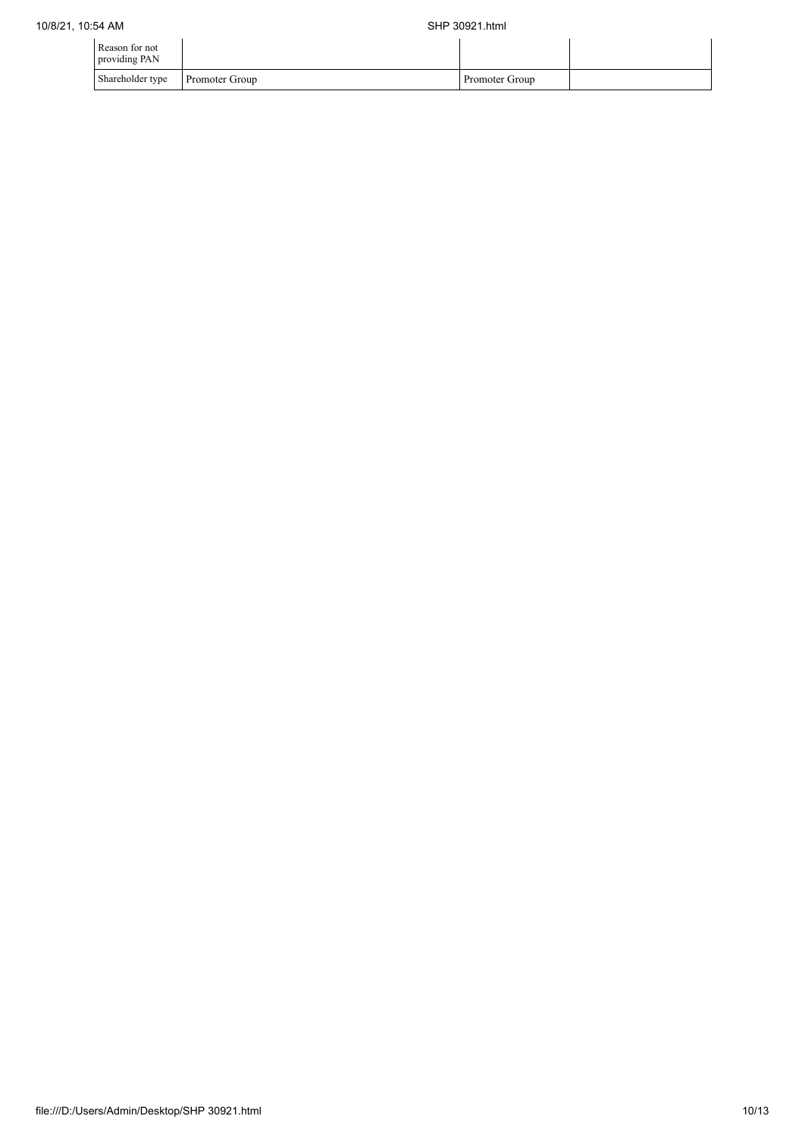| Reason for not<br>providing PAN |                       |                |  |
|---------------------------------|-----------------------|----------------|--|
| Shareholder type                | <b>Promoter Group</b> | Promoter Group |  |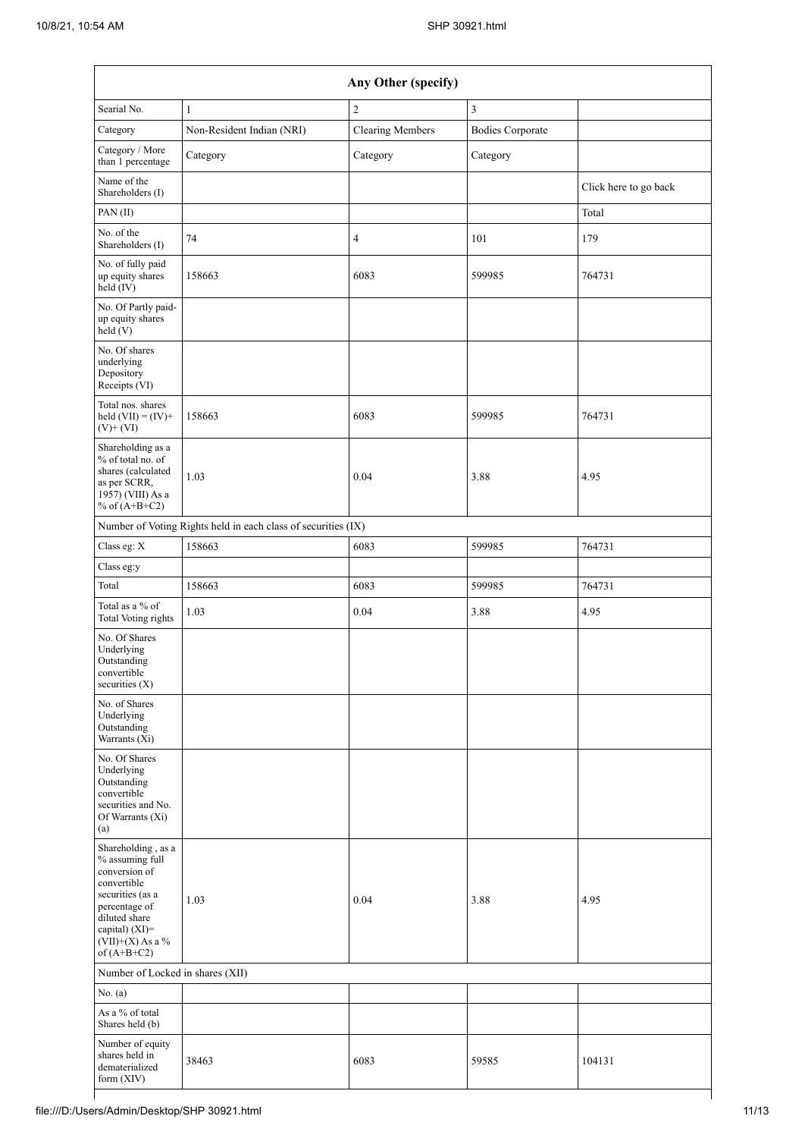|                                                                                                                                                                                      |                                                               | Any Other (specify)     |                         |                       |
|--------------------------------------------------------------------------------------------------------------------------------------------------------------------------------------|---------------------------------------------------------------|-------------------------|-------------------------|-----------------------|
| Searial No.                                                                                                                                                                          | $\mathbf{1}$                                                  | $\overline{2}$          | 3                       |                       |
| Category                                                                                                                                                                             | Non-Resident Indian (NRI)                                     | <b>Clearing Members</b> | <b>Bodies Corporate</b> |                       |
| Category / More<br>than 1 percentage                                                                                                                                                 | Category                                                      | Category                | Category                |                       |
| Name of the<br>Shareholders (I)                                                                                                                                                      |                                                               |                         |                         | Click here to go back |
| PAN (II)                                                                                                                                                                             |                                                               |                         |                         | Total                 |
| No. of the<br>Shareholders (I)                                                                                                                                                       | 74                                                            | $\overline{4}$          | 101                     | 179                   |
| No. of fully paid<br>up equity shares<br>held (IV)                                                                                                                                   | 158663                                                        | 6083                    | 599985                  | 764731                |
| No. Of Partly paid-<br>up equity shares<br>held (V)                                                                                                                                  |                                                               |                         |                         |                       |
| No. Of shares<br>underlying<br>Depository<br>Receipts (VI)                                                                                                                           |                                                               |                         |                         |                       |
| Total nos. shares<br>held $(VII) = (IV) +$<br>$(V)$ + $(VI)$                                                                                                                         | 158663                                                        | 6083                    | 599985                  | 764731                |
| Shareholding as a<br>% of total no. of<br>shares (calculated<br>as per SCRR,<br>1957) (VIII) As a<br>% of $(A+B+C2)$                                                                 | 1.03                                                          | 0.04                    | 3.88                    | 4.95                  |
|                                                                                                                                                                                      | Number of Voting Rights held in each class of securities (IX) |                         |                         |                       |
| Class eg: X                                                                                                                                                                          | 158663                                                        | 6083                    | 599985                  | 764731                |
| Class eg:y                                                                                                                                                                           |                                                               |                         |                         |                       |
| Total                                                                                                                                                                                | 158663                                                        | 6083                    | 599985                  | 764731                |
| Total as a % of<br>Total Voting rights                                                                                                                                               | 1.03                                                          | 0.04                    | 3.88                    | 4.95                  |
| No. Of Shares<br>Underlying<br>Outstanding<br>convertible<br>securities $(X)$                                                                                                        |                                                               |                         |                         |                       |
| No. of Shares<br>Underlying<br>Outstanding<br>Warrants (Xi)                                                                                                                          |                                                               |                         |                         |                       |
| No. Of Shares<br>Underlying<br>Outstanding<br>convertible<br>securities and No.<br>Of Warrants (Xi)<br>(a)                                                                           |                                                               |                         |                         |                       |
| Shareholding, as a<br>% assuming full<br>conversion of<br>convertible<br>securities (as a<br>percentage of<br>diluted share<br>capital) (XI)=<br>$(VII)+(X)$ As a %<br>of $(A+B+C2)$ | 1.03                                                          | 0.04                    | 3.88                    | 4.95                  |
| Number of Locked in shares (XII)                                                                                                                                                     |                                                               |                         |                         |                       |
| No. $(a)$                                                                                                                                                                            |                                                               |                         |                         |                       |
| As a % of total<br>Shares held (b)                                                                                                                                                   |                                                               |                         |                         |                       |
| Number of equity<br>shares held in<br>dematerialized<br>form (XIV)                                                                                                                   | 38463                                                         | 6083                    | 59585                   | 104131                |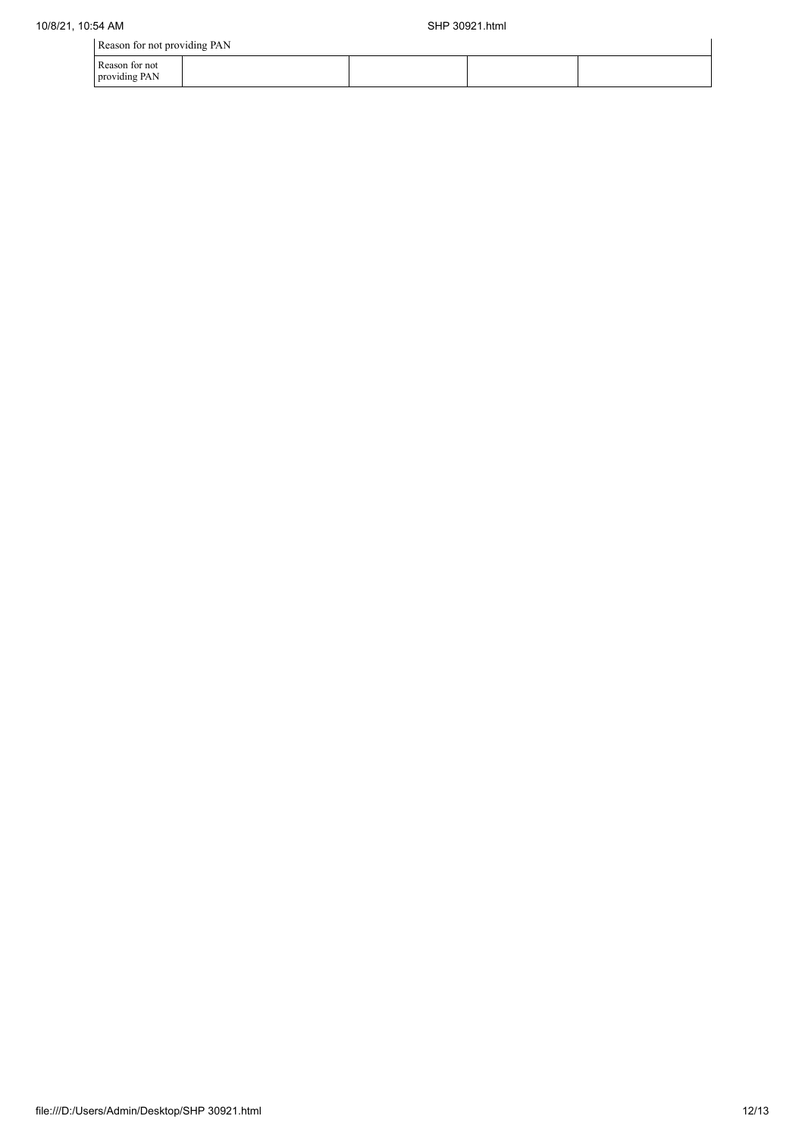|                                 | Reason for not providing PAN |  |  |  |  |  |  |  |  |
|---------------------------------|------------------------------|--|--|--|--|--|--|--|--|
| Reason for not<br>providing PAN |                              |  |  |  |  |  |  |  |  |